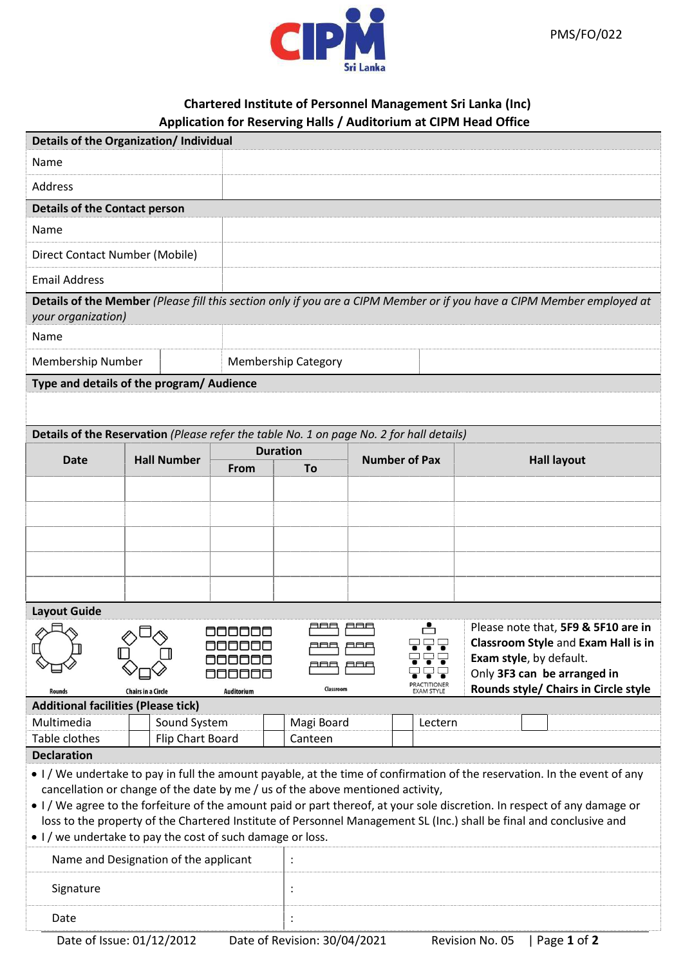

## **Chartered Institute of Personnel Management Sri Lanka (Inc) Application for Reserving Halls / Auditorium at CIPM Head Office**

| Details of the Organization/ Individual                                                                                                                                                                   |                    |                 |                            |                      |                                                                            |  |  |  |
|-----------------------------------------------------------------------------------------------------------------------------------------------------------------------------------------------------------|--------------------|-----------------|----------------------------|----------------------|----------------------------------------------------------------------------|--|--|--|
| Name                                                                                                                                                                                                      |                    |                 |                            |                      |                                                                            |  |  |  |
| Address                                                                                                                                                                                                   |                    |                 |                            |                      |                                                                            |  |  |  |
| <b>Details of the Contact person</b>                                                                                                                                                                      |                    |                 |                            |                      |                                                                            |  |  |  |
| Name                                                                                                                                                                                                      |                    |                 |                            |                      |                                                                            |  |  |  |
| Direct Contact Number (Mobile)                                                                                                                                                                            |                    |                 |                            |                      |                                                                            |  |  |  |
| <b>Email Address</b>                                                                                                                                                                                      |                    |                 |                            |                      |                                                                            |  |  |  |
| Details of the Member (Please fill this section only if you are a CIPM Member or if you have a CIPM Member employed at<br>your organization)                                                              |                    |                 |                            |                      |                                                                            |  |  |  |
| Name                                                                                                                                                                                                      |                    |                 |                            |                      |                                                                            |  |  |  |
| Membership Number                                                                                                                                                                                         |                    |                 | <b>Membership Category</b> |                      |                                                                            |  |  |  |
| Type and details of the program/ Audience                                                                                                                                                                 |                    |                 |                            |                      |                                                                            |  |  |  |
|                                                                                                                                                                                                           |                    |                 |                            |                      |                                                                            |  |  |  |
| Details of the Reservation (Please refer the table No. 1 on page No. 2 for hall details)                                                                                                                  |                    |                 |                            |                      |                                                                            |  |  |  |
| <b>Date</b>                                                                                                                                                                                               | <b>Hall Number</b> | <b>Duration</b> |                            | <b>Number of Pax</b> | <b>Hall layout</b>                                                         |  |  |  |
|                                                                                                                                                                                                           |                    | From            | To                         |                      |                                                                            |  |  |  |
|                                                                                                                                                                                                           |                    |                 |                            |                      |                                                                            |  |  |  |
|                                                                                                                                                                                                           |                    |                 |                            |                      |                                                                            |  |  |  |
|                                                                                                                                                                                                           |                    |                 |                            |                      |                                                                            |  |  |  |
|                                                                                                                                                                                                           |                    |                 |                            |                      |                                                                            |  |  |  |
|                                                                                                                                                                                                           |                    |                 |                            |                      |                                                                            |  |  |  |
| <b>Layout Guide</b>                                                                                                                                                                                       |                    |                 |                            |                      |                                                                            |  |  |  |
|                                                                                                                                                                                                           |                    | 800000          | ooo                        | ட்<br>866            | Please note that, 5F9 & 5F10 are in<br>Classroom Style and Exam Hall is in |  |  |  |
|                                                                                                                                                                                                           |                    | 000000<br>AAAAF |                            |                      | Exam style, by default.                                                    |  |  |  |
|                                                                                                                                                                                                           |                    | <b>MMM</b>      |                            | PRACTITIONER         | Only 3F3 can be arranged in                                                |  |  |  |
| Rounds style/ Chairs in Circle style<br>Classroom<br><b>Chairs in a Circle</b><br><b>EXAM STYLE</b><br><b>Auditorium</b><br><b>Rounds</b><br><b>Additional facilities (Please tick)</b>                   |                    |                 |                            |                      |                                                                            |  |  |  |
| Multimedia                                                                                                                                                                                                | Sound System       |                 | Magi Board                 | Lectern              |                                                                            |  |  |  |
| Table clothes                                                                                                                                                                                             | Flip Chart Board   |                 | Canteen                    |                      |                                                                            |  |  |  |
| <b>Declaration</b>                                                                                                                                                                                        |                    |                 |                            |                      |                                                                            |  |  |  |
| • I/We undertake to pay in full the amount payable, at the time of confirmation of the reservation. In the event of any<br>cancellation or change of the date by me / us of the above mentioned activity, |                    |                 |                            |                      |                                                                            |  |  |  |
| • I/We agree to the forfeiture of the amount paid or part thereof, at your sole discretion. In respect of any damage or                                                                                   |                    |                 |                            |                      |                                                                            |  |  |  |
| loss to the property of the Chartered Institute of Personnel Management SL (Inc.) shall be final and conclusive and                                                                                       |                    |                 |                            |                      |                                                                            |  |  |  |
| • I / we undertake to pay the cost of such damage or loss.<br>Name and Designation of the applicant                                                                                                       |                    |                 |                            |                      |                                                                            |  |  |  |
|                                                                                                                                                                                                           |                    |                 | $\ddot{\cdot}$             |                      |                                                                            |  |  |  |
| Signature                                                                                                                                                                                                 |                    |                 | $\ddot{\cdot}$             |                      |                                                                            |  |  |  |
| Date                                                                                                                                                                                                      |                    |                 | $\ddot{\cdot}$             |                      |                                                                            |  |  |  |
| Date of Issue: 01/12/2012<br>Date of Revision: 30/04/2021<br>Page 1 of 2<br>Revision No. 05                                                                                                               |                    |                 |                            |                      |                                                                            |  |  |  |